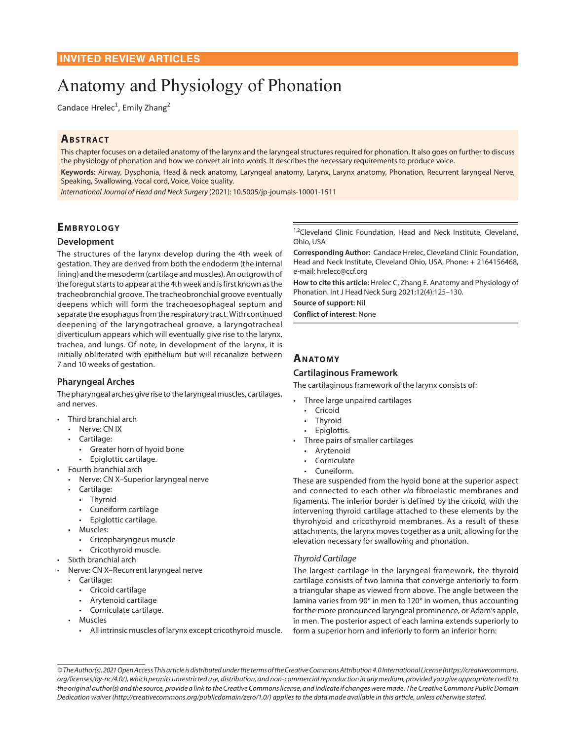# Anatomy and Physiology of Phonation

Candace Hrelec<sup>1</sup>, Emily Zhang<sup>2</sup>

# **ABSTRACT**

This chapter focuses on a detailed anatomy of the larynx and the laryngeal structures required for phonation. It also goes on further to discuss the physiology of phonation and how we convert air into words. It describes the necessary requirements to produce voice.

**Keywords:** Airway, Dysphonia, Head & neck anatomy, Laryngeal anatomy, Larynx, Larynx anatomy, Phonation, Recurrent laryngeal Nerve, Speaking, Swallowing, Vocal cord, Voice, Voice quality.

*International Journal of Head and Neck Surgery* (2021): 10.5005/jp-journals-10001-1511

# **EMBRYOLOGY**

# **Development**

The structures of the larynx develop during the 4th week of gestation. They are derived from both the endoderm (the internal lining) and the mesoderm (cartilage and muscles). An outgrowth of the foregut starts to appear at the 4th week and is first known as the tracheobronchial groove. The tracheobronchial groove eventually deepens which will form the tracheoesophageal septum and separate the esophagus from the respiratory tract. With continued deepening of the laryngotracheal groove, a laryngotracheal diverticulum appears which will eventually give rise to the larynx, trachea, and lungs. Of note, in development of the larynx, it is initially obliterated with epithelium but will recanalize between 7 and 10 weeks of gestation.

# **Pharyngeal Arches**

The pharyngeal arches give rise to the laryngeal muscles, cartilages, and nerves.

- Third branchial arch
	- Nerve: CN IX
	- Cartilage:
		- Greater horn of hyoid bone
	- Epiglottic cartilage.
- Fourth branchial arch
	- Nerve: CN X–Superior laryngeal nerve
	- Cartilage:
		- Thyroid
		- Cuneiform cartilage
		- Epiglottic cartilage.
	- Muscles:
		- Cricopharyngeus muscle
	- Cricothyroid muscle.
- Sixth branchial arch
- Nerve: CN X–Recurrent laryngeal nerve
	- Cartilage:
		- Cricoid cartilage
		- Arytenoid cartilage
		- Corniculate cartilage.
	- Muscles
		- All intrinsic muscles of larynx except cricothyroid muscle.

<sup>1,2</sup>Cleveland Clinic Foundation, Head and Neck Institute, Cleveland, Ohio, USA

**Corresponding Author:** Candace Hrelec, Cleveland Clinic Foundation, Head and Neck Institute, Cleveland Ohio, USA, Phone: + 2164156468, e-mail: hrelecc@ccf.org

**How to cite this article:** Hrelec C, Zhang E. Anatomy and Physiology of Phonation. Int J Head Neck Surg 2021;12(4):125–130.

**Source of support:** Nil

**Conflict of interest**: None

# **Anatomy**

# **Cartilaginous Framework**

The cartilaginous framework of the larynx consists of:

- Three large unpaired cartilages
- Cricoid
- Thyroid
- Epiglottis.
- Three pairs of smaller cartilages
	- **Arytenoid**
	- Corniculate
	- Cuneiform.

These are suspended from the hyoid bone at the superior aspect and connected to each other *via* fibroelastic membranes and ligaments. The inferior border is defined by the cricoid, with the intervening thyroid cartilage attached to these elements by the thyrohyoid and cricothyroid membranes. As a result of these attachments, the larynx moves together as a unit, allowing for the elevation necessary for swallowing and phonation.

#### *Thyroid Cartilage*

The largest cartilage in the laryngeal framework, the thyroid cartilage consists of two lamina that converge anteriorly to form a triangular shape as viewed from above. The angle between the lamina varies from 90º in men to 120º in women, thus accounting for the more pronounced laryngeal prominence, or Adam's apple, in men. The posterior aspect of each lamina extends superiorly to form a superior horn and inferiorly to form an inferior horn:

*© The Author(s). 2021 Open Access This article is distributed under the terms of the Creative Commons Attribution 4.0 International License (https://creativecommons. org/licenses/by-nc/4.0/), which permits unrestricted use, distribution, and non-commercial reproduction in any medium, provided you give appropriate credit to the original author(s) and the source, provide a link to the Creative Commons license, and indicate if changes were made. The Creative Commons Public Domain Dedication waiver (http://creativecommons.org/publicdomain/zero/1.0/) applies to the data made available in this article, unless otherwise stated.*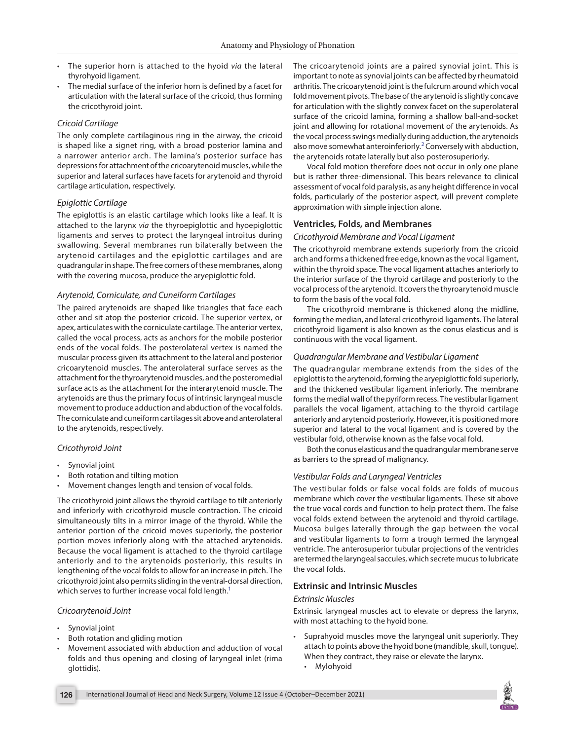- The superior horn is attached to the hyoid *via* the lateral thyrohyoid ligament.
- The medial surface of the inferior horn is defined by a facet for articulation with the lateral surface of the cricoid, thus forming the cricothyroid joint.

#### *Cricoid Cartilage*

The only complete cartilaginous ring in the airway, the cricoid is shaped like a signet ring, with a broad posterior lamina and a narrower anterior arch. The lamina's posterior surface has depressions for attachment of the cricoarytenoid muscles, while the superior and lateral surfaces have facets for arytenoid and thyroid cartilage articulation, respectively.

#### *Epiglottic Cartilage*

The epiglottis is an elastic cartilage which looks like a leaf. It is attached to the larynx *via* the thyroepiglottic and hyoepiglottic ligaments and serves to protect the laryngeal introitus during swallowing. Several membranes run bilaterally between the arytenoid cartilages and the epiglottic cartilages and are quadrangular in shape. The free corners of these membranes, along with the covering mucosa, produce the aryepiglottic fold.

#### *Arytenoid, Corniculate, and Cuneiform Cartilages*

The paired arytenoids are shaped like triangles that face each other and sit atop the posterior cricoid. The superior vertex, or apex, articulates with the corniculate cartilage. The anterior vertex, called the vocal process, acts as anchors for the mobile posterior ends of the vocal folds. The posterolateral vertex is named the muscular process given its attachment to the lateral and posterior cricoarytenoid muscles. The anterolateral surface serves as the attachment for the thyroarytenoid muscles, and the posteromedial surface acts as the attachment for the interarytenoid muscle. The arytenoids are thus the primary focus of intrinsic laryngeal muscle movement to produce adduction and abduction of the vocal folds. The corniculate and cuneiform cartilages sit above and anterolateral to the arytenoids, respectively.

#### *Cricothyroid Joint*

- Synovial joint
- Both rotation and tilting motion
- Movement changes length and tension of vocal folds.

The cricothyroid joint allows the thyroid cartilage to tilt anteriorly and inferiorly with cricothyroid muscle contraction. The cricoid simultaneously tilts in a mirror image of the thyroid. While the anterior portion of the cricoid moves superiorly, the posterior portion moves inferiorly along with the attached arytenoids. Because the vocal ligament is attached to the thyroid cartilage anteriorly and to the arytenoids posteriorly, this results in lengthening of the vocal folds to allow for an increase in pitch. The cricothyroid joint also permits sliding in the ventral-dorsal direction, which serves to further increase vocal fold length.<sup>1</sup>

#### *Cricoarytenoid Joint*

- Synovial joint
- Both rotation and gliding motion
- Movement associated with abduction and adduction of vocal folds and thus opening and closing of laryngeal inlet (rima glottidis).

The cricoarytenoid joints are a paired synovial joint. This is important to note as synovial joints can be affected by rheumatoid arthritis. The cricoarytenoid joint is the fulcrum around which vocal fold movement pivots. The base of the arytenoid is slightly concave for articulation with the slightly convex facet on the superolateral surface of the cricoid lamina, forming a shallow ball-and-socket joint and allowing for rotational movement of the arytenoids. As the vocal process swings medially during adduction, the arytenoids also move somewhat anteroinferiorly.<sup>[2](#page-5-0)</sup> Conversely with abduction, the arytenoids rotate laterally but also posterosuperiorly.

<span id="page-1-1"></span>Vocal fold motion therefore does not occur in only one plane but is rather three-dimensional. This bears relevance to clinical assessment of vocal fold paralysis, as any height difference in vocal folds, particularly of the posterior aspect, will prevent complete approximation with simple injection alone.

#### **Ventricles, Folds, and Membranes**

#### *Cricothyroid Membrane and Vocal Ligament*

The cricothyroid membrane extends superiorly from the cricoid arch and forms a thickened free edge, known as the vocal ligament, within the thyroid space. The vocal ligament attaches anteriorly to the interior surface of the thyroid cartilage and posteriorly to the vocal process of the arytenoid. It covers the thyroarytenoid muscle to form the basis of the vocal fold.

The cricothyroid membrane is thickened along the midline, forming the median, and lateral cricothyroid ligaments. The lateral cricothyroid ligament is also known as the conus elasticus and is continuous with the vocal ligament.

#### *Quadrangular Membrane and Vestibular Ligament*

The quadrangular membrane extends from the sides of the epiglottis to the arytenoid, forming the aryepiglottic fold superiorly, and the thickened vestibular ligament inferiorly. The membrane forms the medial wall of the pyriform recess. The vestibular ligament parallels the vocal ligament, attaching to the thyroid cartilage anteriorly and arytenoid posteriorly. However, it is positioned more superior and lateral to the vocal ligament and is covered by the vestibular fold, otherwise known as the false vocal fold.

Both the conus elasticus and the quadrangular membrane serve as barriers to the spread of malignancy.

#### *Vestibular Folds and Laryngeal Ventricles*

The vestibular folds or false vocal folds are folds of mucous membrane which cover the vestibular ligaments. These sit above the true vocal cords and function to help protect them. The false vocal folds extend between the arytenoid and thyroid cartilage. Mucosa bulges laterally through the gap between the vocal and vestibular ligaments to form a trough termed the laryngeal ventricle. The anterosuperior tubular projections of the ventricles are termed the laryngeal saccules, which secrete mucus to lubricate the vocal folds.

# **Extrinsic and Intrinsic Muscles**

#### <span id="page-1-0"></span>*Extrinsic Muscles*

Extrinsic laryngeal muscles act to elevate or depress the larynx, with most attaching to the hyoid bone.

- Suprahyoid muscles move the laryngeal unit superiorly. They attach to points above the hyoid bone (mandible, skull, tongue). When they contract, they raise or elevate the larynx.
	- Mylohyoid

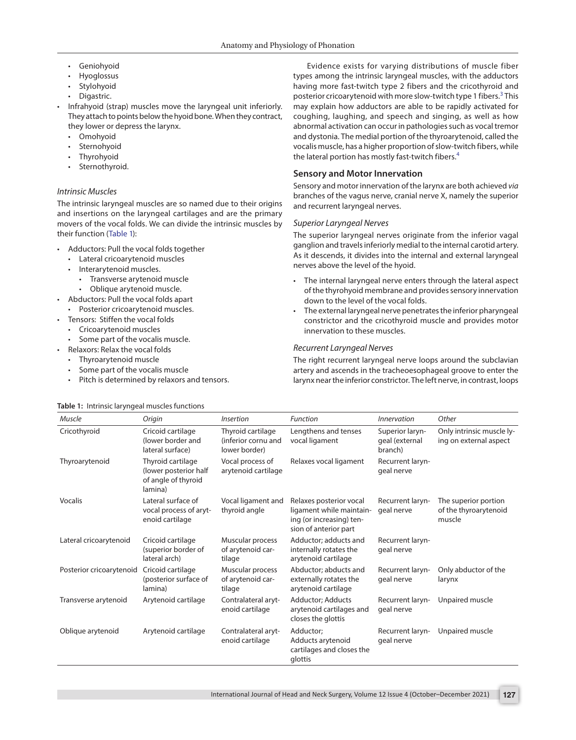- Geniohyoid
- Hyoglossus
- **Stylohyoid**
- Digastric.
- Infrahyoid (strap) muscles move the laryngeal unit inferiorly. They attach to points below the hyoid bone. When they contract, they lower or depress the larynx.
- Omohyoid
- Sternohyoid
- **Thyrohyoid**
- Sternothyroid.

# *Intrinsic Muscles*

The intrinsic laryngeal muscles are so named due to their origins and insertions on the laryngeal cartilages and are the primary movers of the vocal folds. We can divide the intrinsic muscles by their function ([Table 1](#page-2-0)):

- <span id="page-2-1"></span>• Adductors: Pull the vocal folds together
	- Lateral cricoarytenoid muscles
	- Interarytenoid muscles.
		- Transverse arytenoid muscle
	- Oblique arytenoid muscle.
- Abductors: Pull the vocal folds apart • Posterior cricoarytenoid muscles.
- Tensors: Stiffen the vocal folds
	- Cricoarytenoid muscles
	- Some part of the vocalis muscle.
- Relaxors: Relax the vocal folds
- Thyroarytenoid muscle
- Some part of the vocalis muscle
- Pitch is determined by relaxors and tensors.

<span id="page-2-2"></span>Evidence exists for varying distributions of muscle fiber types among the intrinsic laryngeal muscles, with the adductors having more fast-twitch type 2 fibers and the cricothyroid and posterior cricoarytenoid with more slow-twitch type 1 fibers.<sup>[3](#page-5-2)</sup> This may explain how adductors are able to be rapidly activated for coughing, laughing, and speech and singing, as well as how abnormal activation can occur in pathologies such as vocal tremor and dystonia. The medial portion of the thyroarytenoid, called the vocalis muscle, has a higher proportion of slow-twitch fibers, while the lateral portion has mostly fast-twitch fibers.<sup>[4](#page-5-3)</sup>

# <span id="page-2-3"></span>**Sensory and Motor Innervation**

Sensory and motor innervation of the larynx are both achieved *via* branches of the vagus nerve, cranial nerve X, namely the superior and recurrent laryngeal nerves.

#### *Superior Laryngeal Nerves*

The superior laryngeal nerves originate from the inferior vagal ganglion and travels inferiorly medial to the internal carotid artery. As it descends, it divides into the internal and external laryngeal nerves above the level of the hyoid.

- The internal laryngeal nerve enters through the lateral aspect of the thyrohyoid membrane and provides sensory innervation down to the level of the vocal folds.
- The external laryngeal nerve penetrates the inferior pharyngeal constrictor and the cricothyroid muscle and provides motor innervation to these muscles.

#### *Recurrent Laryngeal Nerves*

The right recurrent laryngeal nerve loops around the subclavian artery and ascends in the tracheoesophageal groove to enter the larynx near the inferior constrictor. The left nerve, in contrast, loops

| Muscle                   | Origin                                                                       | <i><b>Insertion</b></i>                                   | <b>Function</b>                                                                                          | Innervation                                  | Other                                                   |
|--------------------------|------------------------------------------------------------------------------|-----------------------------------------------------------|----------------------------------------------------------------------------------------------------------|----------------------------------------------|---------------------------------------------------------|
| Cricothyroid             | Cricoid cartilage<br>(lower border and<br>lateral surface)                   | Thyroid cartilage<br>(inferior cornu and<br>lower border) | Lengthens and tenses<br>vocal ligament                                                                   | Superior laryn-<br>geal (external<br>branch) | Only intrinsic muscle ly-<br>ing on external aspect     |
| Thyroarytenoid           | Thyroid cartilage<br>(lower posterior half<br>of angle of thyroid<br>lamina) | Vocal process of<br>arytenoid cartilage                   | Relaxes vocal ligament                                                                                   | Recurrent laryn-<br>geal nerve               |                                                         |
| Vocalis                  | Lateral surface of<br>vocal process of aryt-<br>enoid cartilage              | Vocal ligament and<br>thyroid angle                       | Relaxes posterior vocal<br>ligament while maintain-<br>ing (or increasing) ten-<br>sion of anterior part | Recurrent laryn-<br>geal nerve               | The superior portion<br>of the thyroarytenoid<br>muscle |
| Lateral cricoarytenoid   | Cricoid cartilage<br>(superior border of<br>lateral arch)                    | Muscular process<br>of arytenoid car-<br>tilage           | Adductor; adducts and<br>internally rotates the<br>arytenoid cartilage                                   | Recurrent laryn-<br>geal nerve               |                                                         |
| Posterior cricoarytenoid | Cricoid cartilage<br>(posterior surface of<br>lamina)                        | Muscular process<br>of arytenoid car-<br>tilage           | Abductor; abducts and<br>externally rotates the<br>arytenoid cartilage                                   | Recurrent laryn-<br>geal nerve               | Only abductor of the<br>larynx                          |
| Transverse arytenoid     | Arytenoid cartilage                                                          | Contralateral aryt-<br>enoid cartilage                    | <b>Adductor</b> ; Adducts<br>arytenoid cartilages and<br>closes the glottis                              | Recurrent laryn-<br>geal nerve               | Unpaired muscle                                         |
| Oblique arytenoid        | Arytenoid cartilage                                                          | Contralateral aryt-<br>enoid cartilage                    | Adductor;<br>Adducts arytenoid<br>cartilages and closes the<br>glottis                                   | Recurrent laryn-<br>geal nerve               | Unpaired muscle                                         |

#### <span id="page-2-0"></span>**[Table 1:](#page-2-1)** Intrinsic laryngeal muscles functions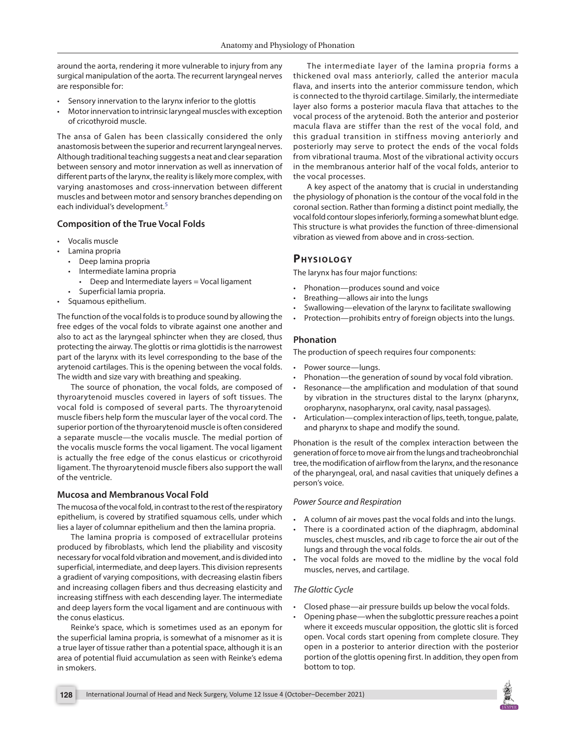around the aorta, rendering it more vulnerable to injury from any surgical manipulation of the aorta. The recurrent laryngeal nerves are responsible for:

- Sensory innervation to the larynx inferior to the glottis
- Motor innervation to intrinsic laryngeal muscles with exception of cricothyroid muscle.

The ansa of Galen has been classically considered the only anastomosis between the superior and recurrent laryngeal nerves. Although traditional teaching suggests a neat and clear separation between sensory and motor innervation as well as innervation of different parts of the larynx, the reality is likely more complex, with varying anastomoses and cross-innervation between different muscles and between motor and sensory branches depending on each individual's development.<sup>[5](#page-5-4)</sup>

# **Composition of the True Vocal Folds**

- Vocalis muscle
- Lamina propria
	- Deep lamina propria
	- Intermediate lamina propria
		- Deep and Intermediate layers = Vocal ligament
	- Superficial lamia propria.
- Squamous epithelium.

The function of the vocal folds is to produce sound by allowing the free edges of the vocal folds to vibrate against one another and also to act as the laryngeal sphincter when they are closed, thus protecting the airway. The glottis or rima glottidis is the narrowest part of the larynx with its level corresponding to the base of the arytenoid cartilages. This is the opening between the vocal folds. The width and size vary with breathing and speaking.

The source of phonation, the vocal folds, are composed of thyroarytenoid muscles covered in layers of soft tissues. The vocal fold is composed of several parts. The thyroarytenoid muscle fibers help form the muscular layer of the vocal cord. The superior portion of the thyroarytenoid muscle is often considered a separate muscle—the vocalis muscle. The medial portion of the vocalis muscle forms the vocal ligament. The vocal ligament is actually the free edge of the conus elasticus or cricothyroid ligament. The thyroarytenoid muscle fibers also support the wall of the ventricle.

#### **Mucosa and Membranous Vocal Fold**

The mucosa of the vocal fold, in contrast to the rest of the respiratory epithelium, is covered by stratified squamous cells, under which lies a layer of columnar epithelium and then the lamina propria.

The lamina propria is composed of extracellular proteins produced by fibroblasts, which lend the pliability and viscosity necessary for vocal fold vibration and movement, and is divided into superficial, intermediate, and deep layers. This division represents a gradient of varying compositions, with decreasing elastin fibers and increasing collagen fibers and thus decreasing elasticity and increasing stiffness with each descending layer. The intermediate and deep layers form the vocal ligament and are continuous with the conus elasticus.

Reinke's space, which is sometimes used as an eponym for the superficial lamina propria, is somewhat of a misnomer as it is a true layer of tissue rather than a potential space, although it is an area of potential fluid accumulation as seen with Reinke's edema in smokers.

The intermediate layer of the lamina propria forms a thickened oval mass anteriorly, called the anterior macula flava, and inserts into the anterior commissure tendon, which is connected to the thyroid cartilage. Similarly, the intermediate layer also forms a posterior macula flava that attaches to the vocal process of the arytenoid. Both the anterior and posterior macula flava are stiffer than the rest of the vocal fold, and this gradual transition in stiffness moving anteriorly and posteriorly may serve to protect the ends of the vocal folds from vibrational trauma. Most of the vibrational activity occurs in the membranous anterior half of the vocal folds, anterior to the vocal processes.

<span id="page-3-0"></span>A key aspect of the anatomy that is crucial in understanding the physiology of phonation is the contour of the vocal fold in the coronal section. Rather than forming a distinct point medially, the vocal fold contour slopes inferiorly, forming a somewhat blunt edge. This structure is what provides the function of three-dimensional vibration as viewed from above and in cross-section.

# **PHYSIOLOGY**

The larynx has four major functions:

- Phonation—produces sound and voice
- Breathing—allows air into the lungs
- Swallowing—elevation of the larynx to facilitate swallowing
- Protection—prohibits entry of foreign objects into the lungs.

# **Phonation**

The production of speech requires four components:

- Power source—lungs.
- Phonation—the generation of sound by vocal fold vibration.
- Resonance—the amplification and modulation of that sound by vibration in the structures distal to the larynx (pharynx, oropharynx, nasopharynx, oral cavity, nasal passages).
- Articulation—complex interaction of lips, teeth, tongue, palate, and pharynx to shape and modify the sound.

Phonation is the result of the complex interaction between the generation of force to move air from the lungs and tracheobronchial tree, the modification of airflow from the larynx, and the resonance of the pharyngeal, oral, and nasal cavities that uniquely defines a person's voice.

#### *Power Source and Respiration*

- A column of air moves past the vocal folds and into the lungs.
- There is a coordinated action of the diaphragm, abdominal muscles, chest muscles, and rib cage to force the air out of the lungs and through the vocal folds.
- The vocal folds are moved to the midline by the vocal fold muscles, nerves, and cartilage.

#### *The Glottic Cycle*

- Closed phase—air pressure builds up below the vocal folds.
- Opening phase—when the subglottic pressure reaches a point where it exceeds muscular opposition, the glottic slit is forced open. Vocal cords start opening from complete closure. They open in a posterior to anterior direction with the posterior portion of the glottis opening first. In addition, they open from bottom to top.

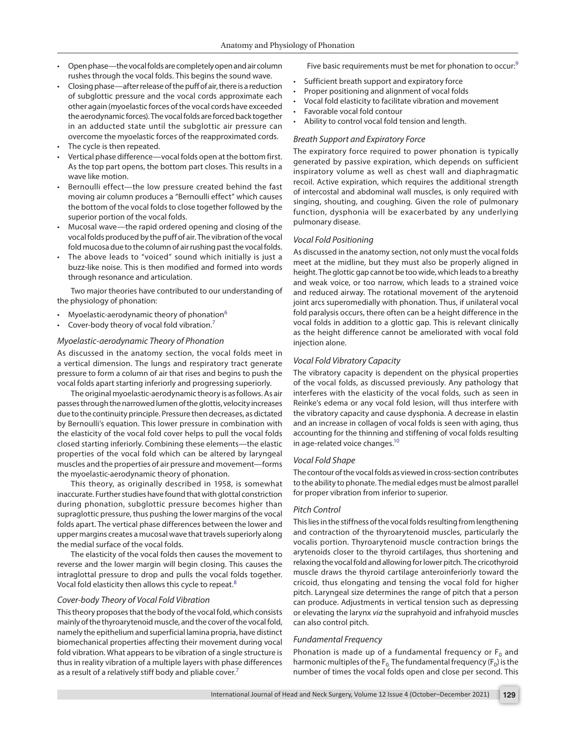- Open phase—the vocal folds are completely open and air column rushes through the vocal folds. This begins the sound wave.
- Closing phase—after release of the puff of air, there is a reduction of subglottic pressure and the vocal cords approximate each other again (myoelastic forces of the vocal cords have exceeded the aerodynamic forces). The vocal folds are forced back together in an adducted state until the subglottic air pressure can overcome the myoelastic forces of the reapproximated cords.
- The cycle is then repeated.
- Vertical phase difference—vocal folds open at the bottom first. As the top part opens, the bottom part closes. This results in a wave like motion.
- Bernoulli effect-the low pressure created behind the fast moving air column produces a "Bernoulli effect" which causes the bottom of the vocal folds to close together followed by the superior portion of the vocal folds.
- Mucosal wave—the rapid ordered opening and closing of the vocal folds produced by the puff of air. The vibration of the vocal fold mucosa due to the column of air rushing past the vocal folds.
- The above leads to "voiced" sound which initially is just a buzz-like noise. This is then modified and formed into words through resonance and articulation.

Two major theories have contributed to our understanding of the physiology of phonation:

- Myoelastic-aerodynamic theory of phonation $6$
- Cover-body theory of vocal fold vibration.<sup>[7](#page-5-8)</sup>

#### *Myoelastic-aerodynamic Theory of Phonation*

As discussed in the anatomy section, the vocal folds meet in a vertical dimension. The lungs and respiratory tract generate pressure to form a column of air that rises and begins to push the vocal folds apart starting inferiorly and progressing superiorly.

The original myoelastic-aerodynamic theory is as follows. As air passes through the narrowed lumen of the glottis, velocity increases due to the continuity principle. Pressure then decreases, as dictated by Bernoulli's equation. This lower pressure in combination with the elasticity of the vocal fold cover helps to pull the vocal folds closed starting inferiorly. Combining these elements—the elastic properties of the vocal fold which can be altered by laryngeal muscles and the properties of air pressure and movement—forms the myoelastic-aerodynamic theory of phonation.

This theory, as originally described in 1958, is somewhat inaccurate. Further studies have found that with glottal constriction during phonation, subglottic pressure becomes higher than supraglottic pressure, thus pushing the lower margins of the vocal folds apart. The vertical phase differences between the lower and upper margins creates a mucosal wave that travels superiorly along the medial surface of the vocal folds.

The elasticity of the vocal folds then causes the movement to reverse and the lower margin will begin closing. This causes the intraglottal pressure to drop and pulls the vocal folds together. Vocal fold elasticity then allows this cycle to repeat.<sup>[8](#page-5-9)</sup>

#### *Cover-body Theory of Vocal Fold Vibration*

This theory proposes that the body of the vocal fold, which consists mainly of the thyroarytenoid muscle, and the cover of the vocal fold, namely the epithelium and superficial lamina propria, have distinct biomechanical properties affecting their movement during vocal fold vibration. What appears to be vibration of a single structure is thus in reality vibration of a multiple layers with phase differences as a result of a relatively stiff body and pliable cover.<sup>[7](#page-5-8)</sup>

<span id="page-4-3"></span>Five basic requirements must be met for phonation to occur:<sup>[9](#page-5-5)</sup>

- Sufficient breath support and expiratory force
- Proper positioning and alignment of vocal folds
- Vocal fold elasticity to facilitate vibration and movement
- Favorable vocal fold contour
- Ability to control vocal fold tension and length.

#### *Breath Support and Expiratory Force*

The expiratory force required to power phonation is typically generated by passive expiration, which depends on sufficient inspiratory volume as well as chest wall and diaphragmatic recoil. Active expiration, which requires the additional strength of intercostal and abdominal wall muscles, is only required with singing, shouting, and coughing. Given the role of pulmonary function, dysphonia will be exacerbated by any underlying pulmonary disease.

#### *Vocal Fold Positioning*

As discussed in the anatomy section, not only must the vocal folds meet at the midline, but they must also be properly aligned in height. The glottic gap cannot be too wide, which leads to a breathy and weak voice, or too narrow, which leads to a strained voice and reduced airway. The rotational movement of the arytenoid joint arcs superomedially with phonation. Thus, if unilateral vocal fold paralysis occurs, there often can be a height difference in the vocal folds in addition to a glottic gap. This is relevant clinically as the height difference cannot be ameliorated with vocal fold injection alone.

#### <span id="page-4-1"></span><span id="page-4-0"></span>*Vocal Fold Vibratory Capacity*

The vibratory capacity is dependent on the physical properties of the vocal folds, as discussed previously. Any pathology that interferes with the elasticity of the vocal folds, such as seen in Reinke's edema or any vocal fold lesion, will thus interfere with the vibratory capacity and cause dysphonia. A decrease in elastin and an increase in collagen of vocal folds is seen with aging, thus accounting for the thinning and stiffening of vocal folds resulting in age-related voice changes. $10<sup>10</sup>$ 

#### <span id="page-4-4"></span>*Vocal Fold Shape*

The contour of the vocal folds as viewed in cross-section contributes to the ability to phonate. The medial edges must be almost parallel for proper vibration from inferior to superior.

#### *Pitch Control*

This lies in the stiffness of the vocal folds resulting from lengthening and contraction of the thyroarytenoid muscles, particularly the vocalis portion. Thyroarytenoid muscle contraction brings the arytenoids closer to the thyroid cartilages, thus shortening and relaxing the vocal fold and allowing for lower pitch. The cricothyroid muscle draws the thyroid cartilage anteroinferiorly toward the cricoid, thus elongating and tensing the vocal fold for higher pitch. Laryngeal size determines the range of pitch that a person can produce. Adjustments in vertical tension such as depressing or elevating the larynx *via* the suprahyoid and infrahyoid muscles can also control pitch.

#### <span id="page-4-2"></span>*Fundamental Frequency*

Phonation is made up of a fundamental frequency or  $F_0$  and harmonic multiples of the  $F_0$  The fundamental frequency ( $F_0$ ) is the number of times the vocal folds open and close per second. This